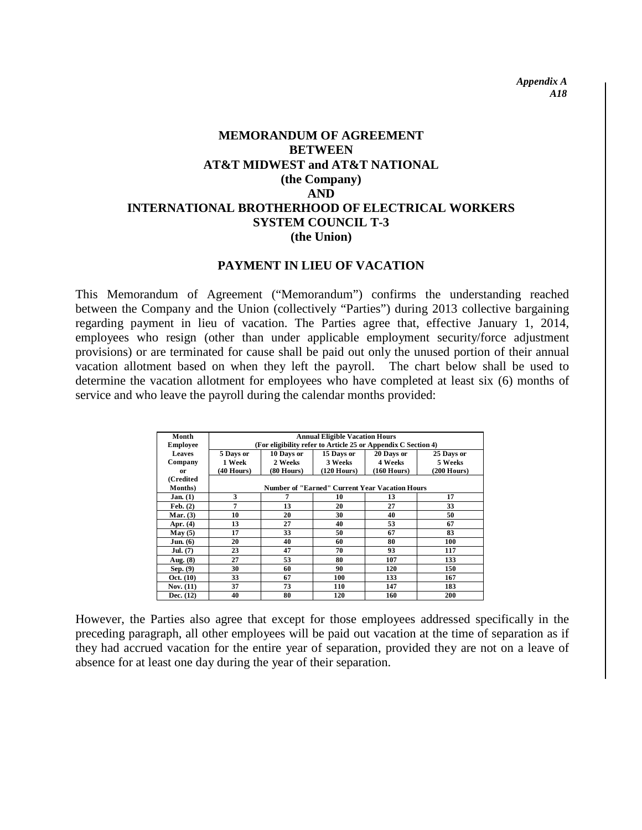*Appendix A A18*

# **MEMORANDUM OF AGREEMENT BETWEEN AT&T MIDWEST and AT&T NATIONAL (the Company) AND INTERNATIONAL BROTHERHOOD OF ELECTRICAL WORKERS SYSTEM COUNCIL T-3 (the Union)**

#### **PAYMENT IN LIEU OF VACATION**

This Memorandum of Agreement ("Memorandum") confirms the understanding reached between the Company and the Union (collectively "Parties") during 2013 collective bargaining regarding payment in lieu of vacation. The Parties agree that, effective January 1, 2014, employees who resign (other than under applicable employment security/force adjustment provisions) or are terminated for cause shall be paid out only the unused portion of their annual vacation allotment based on when they left the payroll. The chart below shall be used to determine the vacation allotment for employees who have completed at least six (6) months of service and who leave the payroll during the calendar months provided:

| Month               | <b>Annual Eligible Vacation Hours</b>                         |              |                       |               |               |
|---------------------|---------------------------------------------------------------|--------------|-----------------------|---------------|---------------|
| <b>Employee</b>     | (For eligibility refer to Article 25 or Appendix C Section 4) |              |                       |               |               |
| Leaves              | 5 Days or                                                     | 10 Days or   | 15 Days or            | 20 Days or    | 25 Days or    |
| Company             | 1 Week                                                        | 2 Weeks      | 3 Weeks               | 4 Weeks       | 5 Weeks       |
| 0r                  | $(40$ Hours)                                                  | $(80$ Hours) | $(120 \text{ Hours})$ | $(160$ Hours) | $(200$ Hours) |
| (Credited           |                                                               |              |                       |               |               |
| <b>Months</b> )     | <b>Number of "Earned" Current Year Vacation Hours</b>         |              |                       |               |               |
| Jan. (1)            | 3                                                             | 7            | 10                    | 13            | 17            |
| $\mathbf{Feb.}$ (2) | 7                                                             | 13           | 20                    | 27            | 33            |
| Mar. $(3)$          | 10                                                            | 20           | 30                    | 40            | 50            |
| Apr. $(4)$          | 13                                                            | 27           | 40                    | 53            | 67            |
| May (5)             | 17                                                            | 33           | 50                    | 67            | 83            |
| Jun. (6)            | 20                                                            | 40           | 60                    | 80            | 100           |
| Jul. (7)            | 23                                                            | 47           | 70                    | 93            | 117           |
| Aug. (8)            | 27                                                            | 53           | 80                    | 107           | 133           |
| Sep. $(9)$          | 30                                                            | 60           | 90                    | 120           | 150           |
| Oct. (10)           | 33                                                            | 67           | 100                   | 133           | 167           |
| Nov. $(11)$         | 37                                                            | 73           | 110                   | 147           | 183           |
| Dec. $(12)$         | 40                                                            | 80           | 120                   | 160           | 200           |

However, the Parties also agree that except for those employees addressed specifically in the preceding paragraph, all other employees will be paid out vacation at the time of separation as if they had accrued vacation for the entire year of separation, provided they are not on a leave of absence for at least one day during the year of their separation.